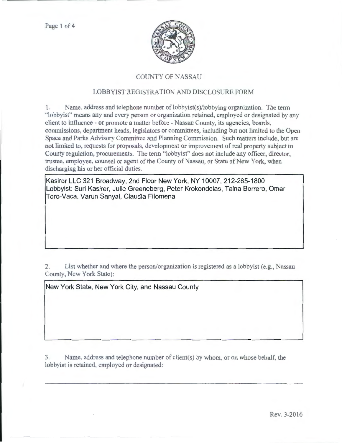

# COUNTY OF NASSAU

## LOBBYIST REGISTRATION AND DISCLOSURE FORM

1. Name. address and telephone number of lobbyist(s)/lobbying organization. The term "lobby ist" means any and every person or organization retained, employed or designated by any client to influence - or promote a matter before - Nassau County, its agencies, boards, commissions, department heads, legislators or committees, including but not limited to the Open Space and Parks Advisory Committee and Planning Commission. Such matters include, but are not limited to, requests for proposals, development or improvement of real property subject to County regulation, procurements. The term "lobbyist" does not include any officer, director, trustee, employee, counsel or agent of the County of Nassau, or State of New York, when discharging his or her official duties.

Kasirer LLC 321 Broadway, 2nd Floor New York, NY 10007, 212-285-1800 Lobbyist: Suri Kasirer, Julie Greeneberg, Peter Krokondelas, Taina Borrero, Omar Toro-Vaca, Varun Sanyal, Claudia Filomena

2. List whether and where the person/organization is registered as a lobbyist (e.g., Nassau County, New York State):

New York State, New York City, and Nassau County

3. Name, address and telephone number of client(s) by whom, or on whose behalf, the lobbyist is retained, employed or designated: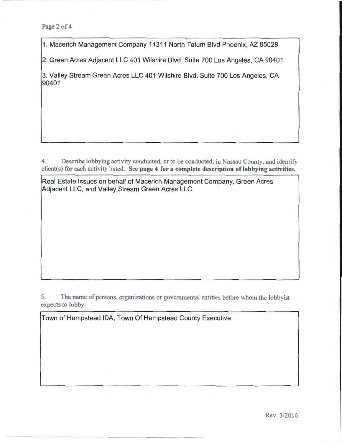1. Macerich Management Company 11311 North Tatum Blvd Phoenix, AZ 85028

2. Green Acres Adjacent LLC 401 Wilshire Blvd, Suite 700 Los Angeles, CA 90401

3. Valley Stream Green Acres LLC 401 Wilshire Blvd, Suite 700 Los Angeles, CA 90401

4. Describe lobbying activity conducted, or to be conducted, in Nassau County, and identify client(s) for each activity listed. See page 4 for a complete description of lobbying activities.

Real Estate Issues on behalf of Macerich Management Company, Green Acres Adjacent LLC, and Valley Stream Green Acres LLC.

5. The name of persons, organizations or governmental entities before whom the lobbyist expects to lobby:

Town of Hempstead IDA, Town Of Hempstead County Executive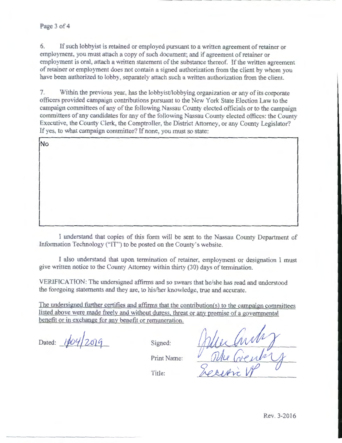### Page 3 of 4

6. If such lobbyist is retained or employed pursuant to a written agreement of retainer or employment, you must attach a copy of such document; and if agreement of retainer or employment is oral, attach a written statement of the substance thereof. If the written agreement of retainer or employment does not contain a signed authorization from the client by whom you have been authorized to lobby. separately attach such a written authorization from the client.

7. Within the previous year, has the lobbyist/lobbying organization or any of its corporate officers provided campaign contributions pursuant to the New York State Election Law to the campaign committees of any of the following Nassau County elected officials or to the campaign committees of any candidates tor any of the following Nassau County elected offices: the County Executive, the County Clerk, the Comptroller, the District Attorney, or any County Legislator? If yes, to what campaign committee? If none, you must so state:

| No |  |  |  |  |
|----|--|--|--|--|
|    |  |  |  |  |
|    |  |  |  |  |
|    |  |  |  |  |
|    |  |  |  |  |
|    |  |  |  |  |
|    |  |  |  |  |

I understand that copies of this form will be sent to the Nassau County Department of Information Technology ("IT") to be posted on the County's website.

I also understand that upon termination of retainer, employment or designation I must give written notice to the County Attorney within thirty (30) days of termination.

VERIFICATION: The undersigned affirms and so swears that he/she has read and understood the foregoing statements and they are, to his/her knowledge, true and accurate.

The undersigned further certifies and affirms that the contribution(s) to the campaign committees listed above were made freely and without duress. threat or any promise of a governmental benefit or in exchange for any benefit or remuneration.

Dated:  $1604/2019$ 

Signed:

Print Name:

Title: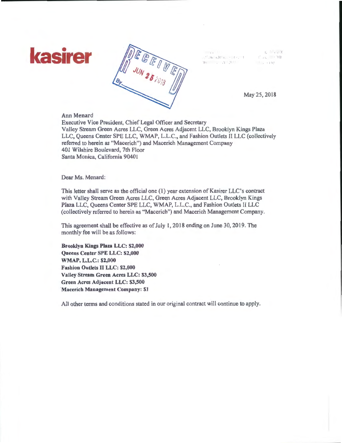



. ).

May 25, 2018

### Ann Menard

Executive Vice President, Chief Legal Officer and Secretary Valley Stream Green Acres LLC, Green Acres Adjacent LLC, Brooklyn Kings Plaza LLC, Queens Center SPE LLC, WMAP, L.L.C., and Fashion Outlets II LLC (collectively referred to herein as "Macerich") and Macerich Management Company 401 Wilshire Boulevard, 7th Floor Santa Monica, California 90401

Dear Ms. Menard:

This letter shall serve as the official one (1) year extension of Kasirer LLC's contract with Valley Stream Green Acres LLC, Green Acres Adjacent LLC, Brooklyn Kings Plaza LLC, Queens Center SPE LLC, WMAP, L.L.C., and Fashion Outlets II LLC (collectively referred to herein as "Macerich") and Macerich Management Company.

This agreement shall be effective as of July l, 2018 ending on June 30, 2019. The monthly fee will be as follows:

Brooklyn Kings Plaza LLC: \$2,000 Queens Center SPE LLC: \$2,000 WMAP, L.L.C.: \$2,000 Fashion Outlets II LLC: \$2,000 Valley Stream Green Acres LLC: \$3,500 Green Acres Adjacent LLC: \$3,500 'Macerich Management Company: \$1

All other terms and conditions stated in our original contract will continue to apply.